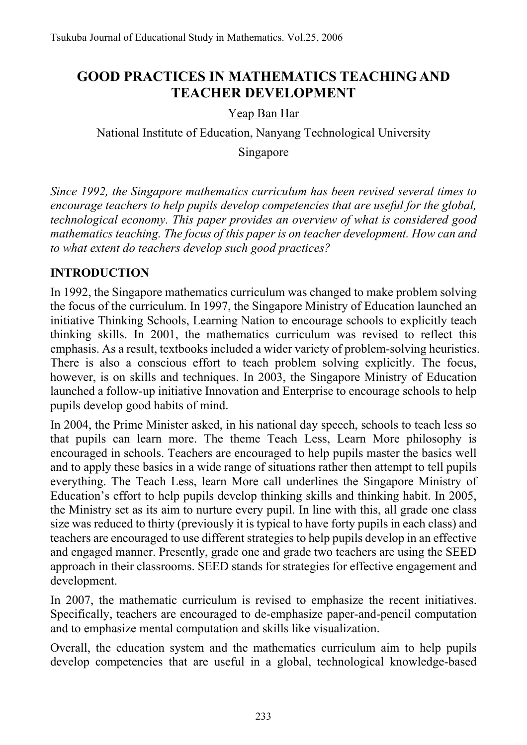# **GOOD PRACTICES IN MATHEMATICS TEACHING AND TEACHER DEVELOPMENT**

#### Yeap Ban Har

National Institute of Education, Nanyang Technological University

Singapore

*Since 1992, the Singapore mathematics curriculum has been revised several times to encourage teachers to help pupils develop competencies that are useful for the global, technological economy. This paper provides an overview of what is considered good mathematics teaching. The focus of this paper is on teacher development. How can and to what extent do teachers develop such good practices?* 

### **INTRODUCTION**

In 1992, the Singapore mathematics curriculum was changed to make problem solving the focus of the curriculum. In 1997, the Singapore Ministry of Education launched an initiative Thinking Schools, Learning Nation to encourage schools to explicitly teach thinking skills. In 2001, the mathematics curriculum was revised to reflect this emphasis. As a result, textbooks included a wider variety of problem-solving heuristics. There is also a conscious effort to teach problem solving explicitly. The focus, however, is on skills and techniques. In 2003, the Singapore Ministry of Education launched a follow-up initiative Innovation and Enterprise to encourage schools to help pupils develop good habits of mind.

In 2004, the Prime Minister asked, in his national day speech, schools to teach less so that pupils can learn more. The theme Teach Less, Learn More philosophy is encouraged in schools. Teachers are encouraged to help pupils master the basics well and to apply these basics in a wide range of situations rather then attempt to tell pupils everything. The Teach Less, learn More call underlines the Singapore Ministry of Education's effort to help pupils develop thinking skills and thinking habit. In 2005, the Ministry set as its aim to nurture every pupil. In line with this, all grade one class size was reduced to thirty (previously it is typical to have forty pupils in each class) and teachers are encouraged to use different strategies to help pupils develop in an effective and engaged manner. Presently, grade one and grade two teachers are using the SEED approach in their classrooms. SEED stands for strategies for effective engagement and development.

In 2007, the mathematic curriculum is revised to emphasize the recent initiatives. Specifically, teachers are encouraged to de-emphasize paper-and-pencil computation and to emphasize mental computation and skills like visualization.

Overall, the education system and the mathematics curriculum aim to help pupils develop competencies that are useful in a global, technological knowledge-based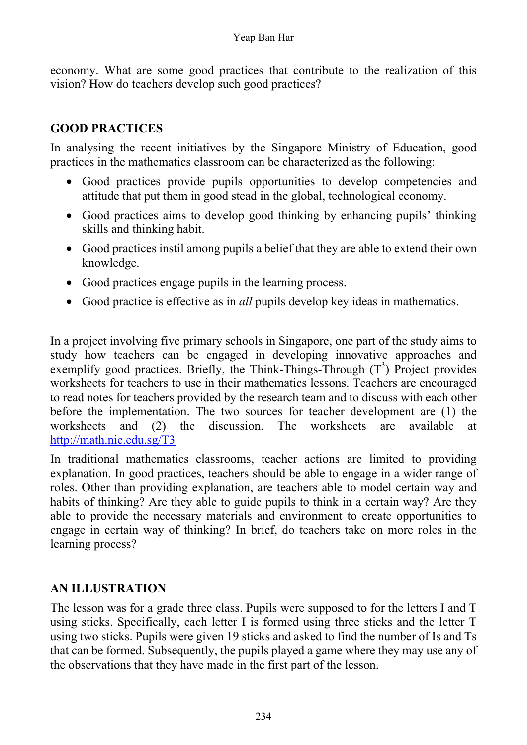economy. What are some good practices that contribute to the realization of this vision? How do teachers develop such good practices?

## **GOOD PRACTICES**

In analysing the recent initiatives by the Singapore Ministry of Education, good practices in the mathematics classroom can be characterized as the following:

- Good practices provide pupils opportunities to develop competencies and attitude that put them in good stead in the global, technological economy.
- Good practices aims to develop good thinking by enhancing pupils' thinking skills and thinking habit.
- Good practices instil among pupils a belief that they are able to extend their own knowledge.
- Good practices engage pupils in the learning process.
- Good practice is effective as in *all* pupils develop key ideas in mathematics.

In a project involving five primary schools in Singapore, one part of the study aims to study how teachers can be engaged in developing innovative approaches and exemplify good practices. Briefly, the Think-Things-Through  $(T^3)$  Project provides worksheets for teachers to use in their mathematics lessons. Teachers are encouraged to read notes for teachers provided by the research team and to discuss with each other before the implementation. The two sources for teacher development are (1) the worksheets and (2) the discussion. The worksheets are available at http://math.nie.edu.sg/T3

In traditional mathematics classrooms, teacher actions are limited to providing explanation. In good practices, teachers should be able to engage in a wider range of roles. Other than providing explanation, are teachers able to model certain way and habits of thinking? Are they able to guide pupils to think in a certain way? Are they able to provide the necessary materials and environment to create opportunities to engage in certain way of thinking? In brief, do teachers take on more roles in the learning process?

### **AN ILLUSTRATION**

The lesson was for a grade three class. Pupils were supposed to for the letters I and T using sticks. Specifically, each letter I is formed using three sticks and the letter T using two sticks. Pupils were given 19 sticks and asked to find the number of Is and Ts that can be formed. Subsequently, the pupils played a game where they may use any of the observations that they have made in the first part of the lesson.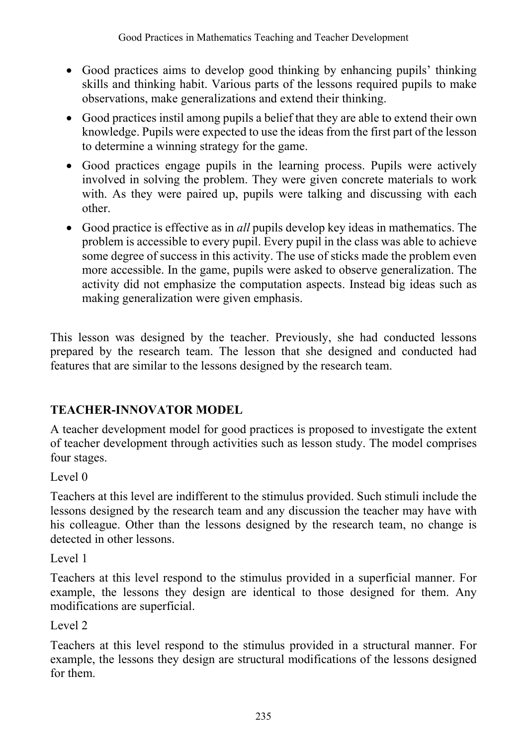- Good practices aims to develop good thinking by enhancing pupils' thinking skills and thinking habit. Various parts of the lessons required pupils to make observations, make generalizations and extend their thinking.
- Good practices instil among pupils a belief that they are able to extend their own knowledge. Pupils were expected to use the ideas from the first part of the lesson to determine a winning strategy for the game.
- Good practices engage pupils in the learning process. Pupils were actively involved in solving the problem. They were given concrete materials to work with. As they were paired up, pupils were talking and discussing with each other.
- Good practice is effective as in *all* pupils develop key ideas in mathematics. The problem is accessible to every pupil. Every pupil in the class was able to achieve some degree of success in this activity. The use of sticks made the problem even more accessible. In the game, pupils were asked to observe generalization. The activity did not emphasize the computation aspects. Instead big ideas such as making generalization were given emphasis.

This lesson was designed by the teacher. Previously, she had conducted lessons prepared by the research team. The lesson that she designed and conducted had features that are similar to the lessons designed by the research team.

## **TEACHER-INNOVATOR MODEL**

A teacher development model for good practices is proposed to investigate the extent of teacher development through activities such as lesson study. The model comprises four stages.

Level  $\theta$ 

Teachers at this level are indifferent to the stimulus provided. Such stimuli include the lessons designed by the research team and any discussion the teacher may have with his colleague. Other than the lessons designed by the research team, no change is detected in other lessons.

Level 1

Teachers at this level respond to the stimulus provided in a superficial manner. For example, the lessons they design are identical to those designed for them. Any modifications are superficial.

Level 2

Teachers at this level respond to the stimulus provided in a structural manner. For example, the lessons they design are structural modifications of the lessons designed for them.